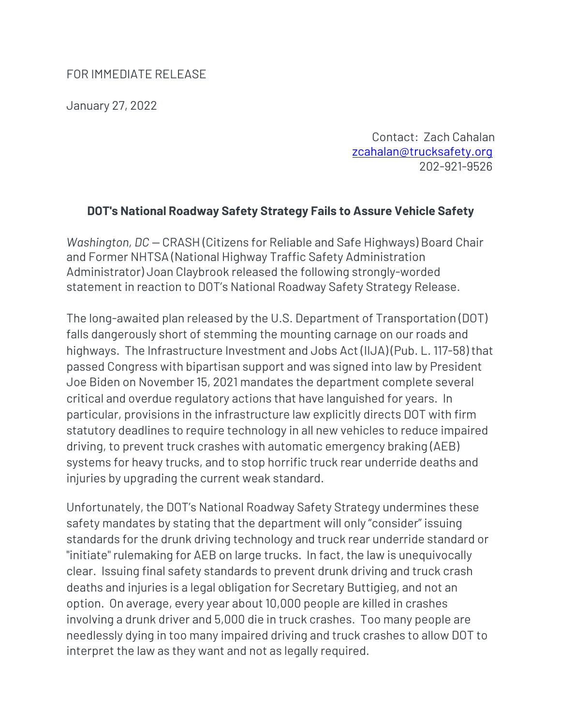## FOR IMMEDIATE RELEASE

January 27, 2022

Contact: Zach Cahalan zcahalan@trucksafety.org 202-921-9526

## **DOT's National Roadway Safety Strategy Fails to Assure Vehicle Safety**

*Washington, DC —* CRASH (Citizens for Reliable and Safe Highways) Board Chair and Former NHTSA (National Highway Traffic Safety Administration Administrator) Joan Claybrook released the following strongly-worded statement in reaction to DOT's National Roadway Safety Strategy Release.

The long-awaited plan released by the U.S. Department of Transportation (DOT) falls dangerously short of stemming the mounting carnage on our roads and highways. The Infrastructure Investment and Jobs Act (IIJA) (Pub. L. 117-58) that passed Congress with bipartisan support and was signed into law by President Joe Biden on November 15, 2021 mandates the department complete several critical and overdue regulatory actions that have languished for years. In particular, provisions in the infrastructure law explicitly directs DOT with firm statutory deadlines to require technology in all new vehicles to reduce impaired driving, to prevent truck crashes with automatic emergency braking (AEB) systems for heavy trucks, and to stop horrific truck rear underride deaths and injuries by upgrading the current weak standard.

Unfortunately, the DOT's National Roadway Safety Strategy undermines these safety mandates by stating that the department will only "consider" issuing standards for the drunk driving technology and truck rear underride standard or "initiate" rulemaking for AEB on large trucks. In fact, the law is unequivocally clear. Issuing final safety standards to prevent drunk driving and truck crash deaths and injuries is a legal obligation for Secretary Buttigieg, and not an option. On average, every year about 10,000 people are killed in crashes involving a drunk driver and 5,000 die in truck crashes. Too many people are needlessly dying in too many impaired driving and truck crashes to allow DOT to interpret the law as they want and not as legally required.